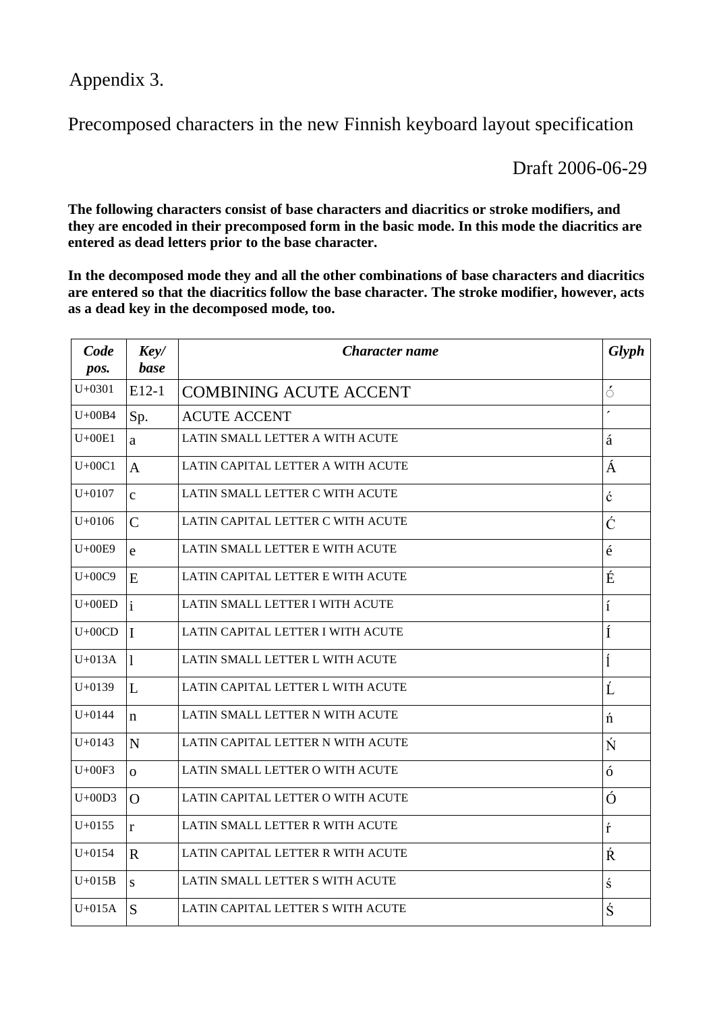Appendix 3.

Precomposed characters in the new Finnish keyboard layout specification

Draft 2006-06-29

The following characters consist of base characters and diacritics or stroke modifiers, and they are encoded in their precomposed form in the basic mode. In this mode the diacritics are entered as dead letters prior to the base character.

In the decomposed mode they and all the other combinations of base characters and diacritics are entered so that the diacritics follow the base character. The stroke modifier, however, acts as a dead key in the decomposed mode, too.

| Code<br>pos. | Key/<br>base   | <b>Character name</b>             | <b>Glyph</b>             |
|--------------|----------------|-----------------------------------|--------------------------|
| $U+0301$     | $E12-1$        | <b>COMBINING ACUTE ACCENT</b>     | $\acute{\circ}$          |
| $U+00B4$     | Sp.            | <b>ACUTE ACCENT</b>               | $\overline{\phantom{a}}$ |
| $U+00E1$     | a              | LATIN SMALL LETTER A WITH ACUTE   | á                        |
| $U+00C1$     | $\overline{A}$ | LATIN CAPITAL LETTER A WITH ACUTE | Á                        |
| $U+0107$     | $\mathbf{c}$   | LATIN SMALL LETTER C WITH ACUTE   | ć                        |
| $U+0106$     | $\mathcal{C}$  | LATIN CAPITAL LETTER C WITH ACUTE | Ć                        |
| $U+00E9$     | e              | LATIN SMALL LETTER E WITH ACUTE   | $\acute{\text{e}}$       |
| $U+00C9$     | E              | LATIN CAPITAL LETTER E WITH ACUTE | É                        |
| $U+00ED$     | $\mathbf{i}$   | LATIN SMALL LETTER I WITH ACUTE   | í                        |
| $U+00CD$     | $\mathbf{I}$   | LATIN CAPITAL LETTER I WITH ACUTE | Í                        |
| $U+013A$     | 1              | LATIN SMALL LETTER L WITH ACUTE   | ĺ                        |
| $U+0139$     | L              | LATIN CAPITAL LETTER L WITH ACUTE | Ĺ                        |
| $U + 0144$   | $\mathbf n$    | LATIN SMALL LETTER N WITH ACUTE   | $\acute{\rm n}$          |
| $U + 0143$   | $\mathbf N$    | LATIN CAPITAL LETTER N WITH ACUTE | Ń                        |
| $U+00F3$     | $\overline{O}$ | LATIN SMALL LETTER O WITH ACUTE   | ó                        |
| $U+00D3$     | $\Omega$       | LATIN CAPITAL LETTER O WITH ACUTE | Ó                        |
| $U + 0155$   | $\mathbf{r}$   | LATIN SMALL LETTER R WITH ACUTE   | ŕ                        |
| $U + 0154$   | $\mathbf R$    | LATIN CAPITAL LETTER R WITH ACUTE | Ŕ                        |
| $U+015B$     | S              | LATIN SMALL LETTER S WITH ACUTE   | ś                        |
| $U+015A$     | S              | LATIN CAPITAL LETTER S WITH ACUTE | Ś                        |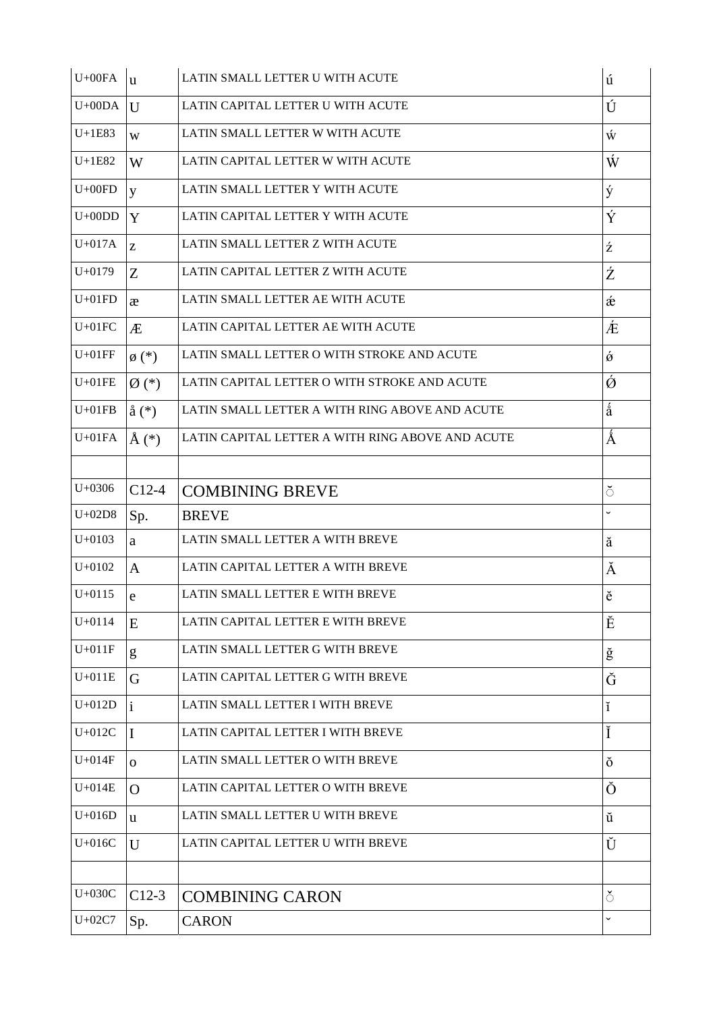| $U+00FA$   | $\mathbf{u}$               | LATIN SMALL LETTER U WITH ACUTE                  | ú                    |
|------------|----------------------------|--------------------------------------------------|----------------------|
| $U+00DA$   | $\mathbf{U}$               | LATIN CAPITAL LETTER U WITH ACUTE                | Ú                    |
| $U+1E83$   | W                          | LATIN SMALL LETTER W WITH ACUTE                  | Ŵ                    |
| $U+1E82$   | W                          | LATIN CAPITAL LETTER W WITH ACUTE                | Ŵ                    |
| $U+00FD$   | y                          | LATIN SMALL LETTER Y WITH ACUTE                  | ý                    |
| $U+00DD$   | Y                          | LATIN CAPITAL LETTER Y WITH ACUTE                | Ý                    |
| $U+017A$   | Z                          | LATIN SMALL LETTER Z WITH ACUTE                  | ź                    |
| $U + 0179$ | Z                          | LATIN CAPITAL LETTER Z WITH ACUTE                | Ź                    |
| $U+01FD$   | æ                          | LATIN SMALL LETTER AE WITH ACUTE                 | æ                    |
| $U+01FC$   | Æ                          | LATIN CAPITAL LETTER AE WITH ACUTE               | Æ                    |
| $U+01FF$   | $\emptyset$ <sup>(*)</sup> | LATIN SMALL LETTER O WITH STROKE AND ACUTE       | $\acute{\mathrm{o}}$ |
| $U+01FE$   | $\varnothing$ (*)          | LATIN CAPITAL LETTER O WITH STROKE AND ACUTE     | Ó                    |
| $U+01FB$   | $\hat{a}$ $(*)$            | LATIN SMALL LETTER A WITH RING ABOVE AND ACUTE   | å                    |
| $U+01FA$   | $\AA$ (*)                  | LATIN CAPITAL LETTER A WITH RING ABOVE AND ACUTE | Å                    |
|            |                            |                                                  |                      |
| $U + 0306$ | $C12-4$                    | <b>COMBINING BREVE</b>                           | $\breve{\circ}$      |
| $U+02D8$   | Sp.                        | <b>BREVE</b>                                     | $\checkmark$         |
| $U + 0103$ | a                          | LATIN SMALL LETTER A WITH BREVE                  | ă                    |
| $U + 0102$ | $\mathbf{A}$               | LATIN CAPITAL LETTER A WITH BREVE                | Ă                    |
| $U + 0115$ | e                          | LATIN SMALL LETTER E WITH BREVE                  | ĕ                    |
| $U + 0114$ | E                          | LATIN CAPITAL LETTER E WITH BREVE                | Ĕ                    |
| $U+011F$   | g                          | LATIN SMALL LETTER G WITH BREVE                  | ğ                    |
| $U+011E$   | G                          | LATIN CAPITAL LETTER G WITH BREVE                | Ğ                    |
| $U+012D$   | $\mathbf{i}$               | LATIN SMALL LETTER I WITH BREVE                  | ĭ                    |
| $U+012C$   | I                          | LATIN CAPITAL LETTER I WITH BREVE                | Ĭ                    |
| $U+014F$   | $\mathbf{O}$               | LATIN SMALL LETTER O WITH BREVE                  | ŏ                    |
| $U+014E$   | O                          | LATIN CAPITAL LETTER O WITH BREVE                | Ŏ                    |
| $U+016D$   | u                          | LATIN SMALL LETTER U WITH BREVE                  | ŭ                    |
| $U+016C$   | $\mathbf{U}$               | LATIN CAPITAL LETTER U WITH BREVE                | Ŭ                    |
|            |                            |                                                  |                      |
| $U+030C$   | $C12-3$                    | <b>COMBINING CARON</b>                           | $\delta$             |
| $U+02C7$   | Sp.                        | <b>CARON</b>                                     | $\checkmark$         |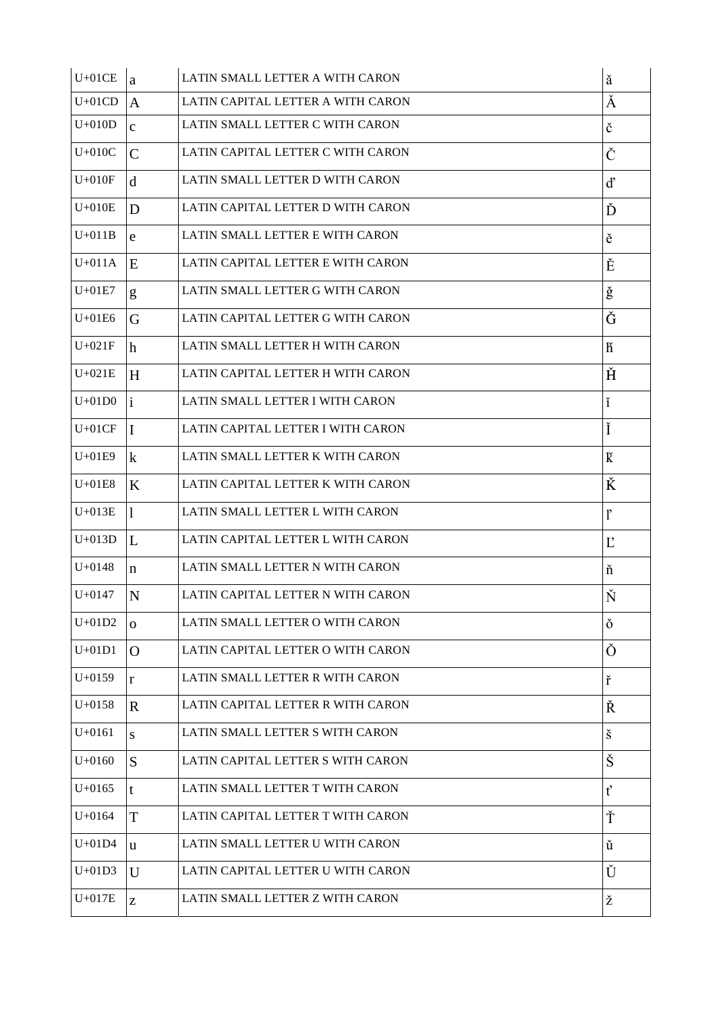| $U+01CE$   | a            | LATIN SMALL LETTER A WITH CARON   | ă            |
|------------|--------------|-----------------------------------|--------------|
| $U+01CD$   | $\mathbf{A}$ | LATIN CAPITAL LETTER A WITH CARON | Ă            |
| $U+010D$   | $\mathbf{C}$ | LATIN SMALL LETTER C WITH CARON   | č            |
| $U+010C$   | $\mathbf C$  | LATIN CAPITAL LETTER C WITH CARON | Č            |
| $U+010F$   | $\mathbf d$  | LATIN SMALL LETTER D WITH CARON   | ď            |
| $U+010E$   | D            | LATIN CAPITAL LETTER D WITH CARON | Ď            |
| $U+011B$   | e            | LATIN SMALL LETTER E WITH CARON   | ě            |
| $U+011A$   | E            | LATIN CAPITAL LETTER E WITH CARON | Ě            |
| $U+01E7$   | g            | LATIN SMALL LETTER G WITH CARON   | ğ            |
| $U+01E6$   | G            | LATIN CAPITAL LETTER G WITH CARON | Ğ            |
| $U+021F$   | h            | LATIN SMALL LETTER H WITH CARON   | ĥ            |
| $U+021E$   | H            | LATIN CAPITAL LETTER H WITH CARON | Ř            |
| $U+01D0$   | $\mathbf{i}$ | LATIN SMALL LETTER I WITH CARON   | ĭ            |
| $U+01CF$   | $\mathbf I$  | LATIN CAPITAL LETTER I WITH CARON | Ĭ            |
| $U+01E9$   | $\bf k$      | LATIN SMALL LETTER K WITH CARON   | K            |
| $U+01E8$   | K            | LATIN CAPITAL LETTER K WITH CARON | Ř            |
| $U+013E$   | 1            | LATIN SMALL LETTER L WITH CARON   | ľ            |
| $U+013D$   | L            | LATIN CAPITAL LETTER L WITH CARON | $L^{\prime}$ |
| $U + 0148$ | $\mathbf n$  | LATIN SMALL LETTER N WITH CARON   | ň            |
| $U + 0147$ | N            | LATIN CAPITAL LETTER N WITH CARON | Ň            |
| $U+01D2$   | $\mathbf{O}$ | LATIN SMALL LETTER O WITH CARON   | ŏ            |
| $U+01D1$   | $\Omega$     | LATIN CAPITAL LETTER O WITH CARON | Ŏ            |
| $U+0159$   | r            | LATIN SMALL LETTER R WITH CARON   | ř            |
| $U + 0158$ | $\mathbf R$  | LATIN CAPITAL LETTER R WITH CARON | Ř            |
| $U + 0161$ | S            | LATIN SMALL LETTER S WITH CARON   | š            |
| $U+0160$   | S            | LATIN CAPITAL LETTER S WITH CARON | Š            |
| $U+0165$   | t            | LATIN SMALL LETTER T WITH CARON   | ť            |
| $U+0164$   | T            | LATIN CAPITAL LETTER T WITH CARON | Ť            |
| $U+01D4$   | u            | LATIN SMALL LETTER U WITH CARON   | ŭ            |
| $U+01D3$   | $\mathbf{U}$ | LATIN CAPITAL LETTER U WITH CARON | Ŭ            |
| $U+017E$   | $\mathbf{Z}$ | LATIN SMALL LETTER Z WITH CARON   | ž            |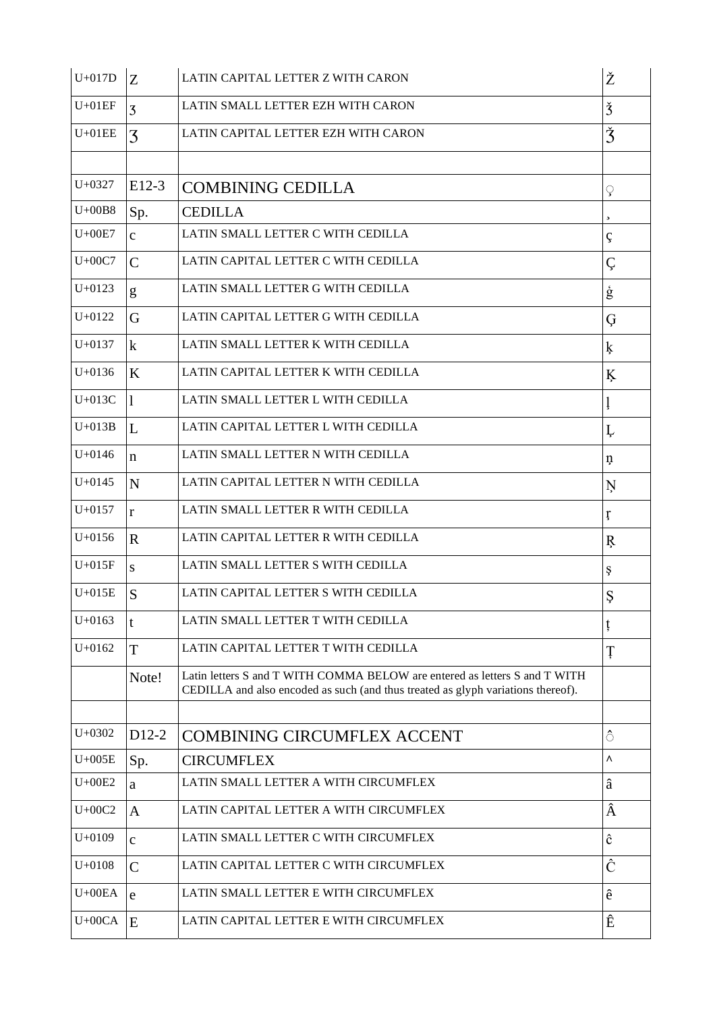| $U+017D$   | Z                  | LATIN CAPITAL LETTER Z WITH CARON                                                                                                                              | Ž                       |
|------------|--------------------|----------------------------------------------------------------------------------------------------------------------------------------------------------------|-------------------------|
| $U+01EF$   | 3                  | LATIN SMALL LETTER EZH WITH CARON                                                                                                                              | $\check{3}$             |
| $U+01EE$   | 3                  | LATIN CAPITAL LETTER EZH WITH CARON                                                                                                                            | Ž                       |
|            |                    |                                                                                                                                                                |                         |
| $U + 0327$ | $E12-3$            | <b>COMBINING CEDILLA</b>                                                                                                                                       | ç                       |
| $U+00B8$   | Sp.                | <b>CEDILLA</b>                                                                                                                                                 | $\overline{\mathbf{z}}$ |
| $U+00E7$   | $\mathbf{C}$       | LATIN SMALL LETTER C WITH CEDILLA                                                                                                                              | ç                       |
| $U+00C7$   | $\mathcal{C}$      | LATIN CAPITAL LETTER C WITH CEDILLA                                                                                                                            | Ç                       |
| $U+0123$   | g                  | LATIN SMALL LETTER G WITH CEDILLA                                                                                                                              | $\dot{\mathbf{g}}$      |
| $U + 0122$ | G                  | LATIN CAPITAL LETTER G WITH CEDILLA                                                                                                                            | Ģ                       |
| $U + 0137$ | $\mathbf k$        | LATIN SMALL LETTER K WITH CEDILLA                                                                                                                              | ķ                       |
| $U+0136$   | K                  | LATIN CAPITAL LETTER K WITH CEDILLA                                                                                                                            | Ķ                       |
| $U+013C$   | $\mathbf{1}$       | LATIN SMALL LETTER L WITH CEDILLA                                                                                                                              |                         |
| $U+013B$   | L                  | LATIN CAPITAL LETTER L WITH CEDILLA                                                                                                                            | Ļ                       |
| $U + 0146$ | $\mathbf n$        | LATIN SMALL LETTER N WITH CEDILLA                                                                                                                              | ņ                       |
| $U + 0145$ | N                  | LATIN CAPITAL LETTER N WITH CEDILLA                                                                                                                            | Ņ                       |
| $U + 0157$ | $\mathbf{r}$       | LATIN SMALL LETTER R WITH CEDILLA                                                                                                                              | ŗ                       |
| $U + 0156$ | $\mathbf{R}$       | LATIN CAPITAL LETTER R WITH CEDILLA                                                                                                                            | Ŗ                       |
| $U+015F$   | S                  | LATIN SMALL LETTER S WITH CEDILLA                                                                                                                              | Ş                       |
| $U+015E$   | S                  | LATIN CAPITAL LETTER S WITH CEDILLA                                                                                                                            | Ş                       |
| $U+0163$   | t                  | LATIN SMALL LETTER T WITH CEDILLA                                                                                                                              | ţ                       |
| $U + 0162$ | T                  | LATIN CAPITAL LETTER T WITH CEDILLA                                                                                                                            | Ţ                       |
|            | Note!              | Latin letters S and T WITH COMMA BELOW are entered as letters S and T WITH<br>CEDILLA and also encoded as such (and thus treated as glyph variations thereof). |                         |
|            |                    |                                                                                                                                                                |                         |
| $U + 0302$ | D <sub>12</sub> -2 | <b>COMBINING CIRCUMFLEX ACCENT</b>                                                                                                                             | $\hat{\circ}$           |
| $U+005E$   | Sp.                | <b>CIRCUMFLEX</b>                                                                                                                                              | ٨                       |
| $U+00E2$   | a                  | LATIN SMALL LETTER A WITH CIRCUMFLEX                                                                                                                           | â                       |
| $U+00C2$   | $\mathbf{A}$       | LATIN CAPITAL LETTER A WITH CIRCUMFLEX                                                                                                                         | Â                       |
| $U+0109$   | $\mathbf{C}$       | LATIN SMALL LETTER C WITH CIRCUMFLEX                                                                                                                           | ĉ                       |
| $U+0108$   | $\mathsf{C}$       | LATIN CAPITAL LETTER C WITH CIRCUMFLEX                                                                                                                         | Ĉ                       |
| $U+00EA$   | e                  | LATIN SMALL LETTER E WITH CIRCUMFLEX                                                                                                                           | ê                       |
| $U+00CA$   | E                  | LATIN CAPITAL LETTER E WITH CIRCUMFLEX                                                                                                                         | Ê                       |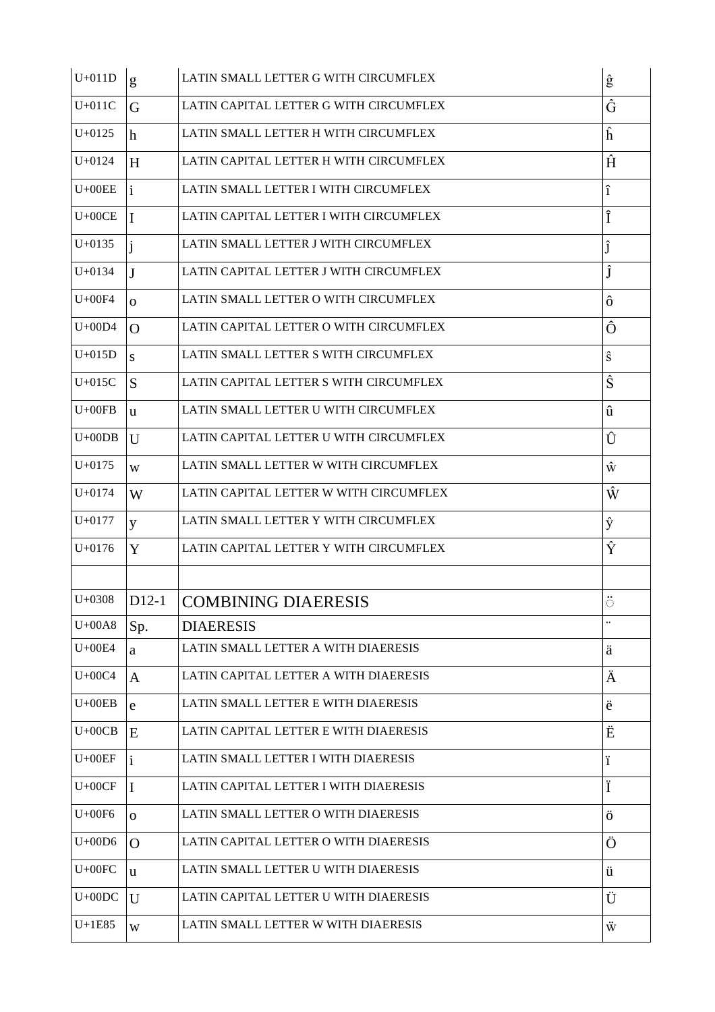| $U+011D$   | g              | LATIN SMALL LETTER G WITH CIRCUMFLEX   | ĝ                    |
|------------|----------------|----------------------------------------|----------------------|
| $U+011C$   | G              | LATIN CAPITAL LETTER G WITH CIRCUMFLEX | Ĝ                    |
| $U + 0125$ | h              | LATIN SMALL LETTER H WITH CIRCUMFLEX   | ĥ                    |
| $U + 0124$ | H              | LATIN CAPITAL LETTER H WITH CIRCUMFLEX | Ĥ                    |
| $U+00EE$   | i.             | LATIN SMALL LETTER I WITH CIRCUMFLEX   | î                    |
| $U+00CE$   | I              | LATIN CAPITAL LETTER I WITH CIRCUMFLEX | Î                    |
| $U + 0135$ |                | LATIN SMALL LETTER J WITH CIRCUMFLEX   |                      |
| $U + 0134$ | $\mathbf{J}$   | LATIN CAPITAL LETTER J WITH CIRCUMFLEX | Ĵ                    |
| $U+00F4$   | $\mathbf{O}$   | LATIN SMALL LETTER O WITH CIRCUMFLEX   | ô                    |
| $U+00D4$   | $\Omega$       | LATIN CAPITAL LETTER O WITH CIRCUMFLEX | Ô                    |
| $U+015D$   | S              | LATIN SMALL LETTER S WITH CIRCUMFLEX   | ŝ                    |
| $U+015C$   | S              | LATIN CAPITAL LETTER S WITH CIRCUMFLEX | Ŝ                    |
| $U+00FB$   | $\mathbf{u}$   | LATIN SMALL LETTER U WITH CIRCUMFLEX   | û                    |
| $U+00DB$   | $\mathbf{U}$   | LATIN CAPITAL LETTER U WITH CIRCUMFLEX | Û                    |
| $U + 0175$ | W              | LATIN SMALL LETTER W WITH CIRCUMFLEX   | ŵ                    |
| $U + 0174$ | W              | LATIN CAPITAL LETTER W WITH CIRCUMFLEX | Ŵ                    |
| $U+0177$   | y              | LATIN SMALL LETTER Y WITH CIRCUMFLEX   | ŷ                    |
|            |                |                                        |                      |
| $U + 0176$ | Y              | LATIN CAPITAL LETTER Y WITH CIRCUMFLEX | Ŷ                    |
|            |                |                                        |                      |
| $U + 0308$ | D12-1          | <b>COMBINING DIAERESIS</b>             | $\circ$              |
| $U+00A8$   | Sp.            | <b>DIAERESIS</b>                       | $\ddot{\phantom{0}}$ |
| $U+00E4$   | a              | LATIN SMALL LETTER A WITH DIAERESIS    | ä                    |
| $U+00C4$   | A              | LATIN CAPITAL LETTER A WITH DIAERESIS  | Ä                    |
| $U+00EB$   | e              | LATIN SMALL LETTER E WITH DIAERESIS    | ë                    |
| $U+00CB$   | E              | LATIN CAPITAL LETTER E WITH DIAERESIS  | Ë                    |
| $U+00EF$   | $\mathbf{i}$   | LATIN SMALL LETTER I WITH DIAERESIS    | ï                    |
| $U+00CF$   | I              | LATIN CAPITAL LETTER I WITH DIAERESIS  | Ï                    |
| $U+00F6$   | $\overline{O}$ | LATIN SMALL LETTER O WITH DIAERESIS    | ö                    |
| $U+00D6$   | $\Omega$       | LATIN CAPITAL LETTER O WITH DIAERESIS  | Ö                    |
| $U+00FC$   | $\mathbf{u}$   | LATIN SMALL LETTER U WITH DIAERESIS    | ü                    |
| $U+00DC$   | U              | LATIN CAPITAL LETTER U WITH DIAERESIS  | Ü                    |
| $U+1E85$   | W              | LATIN SMALL LETTER W WITH DIAERESIS    | Ŵ                    |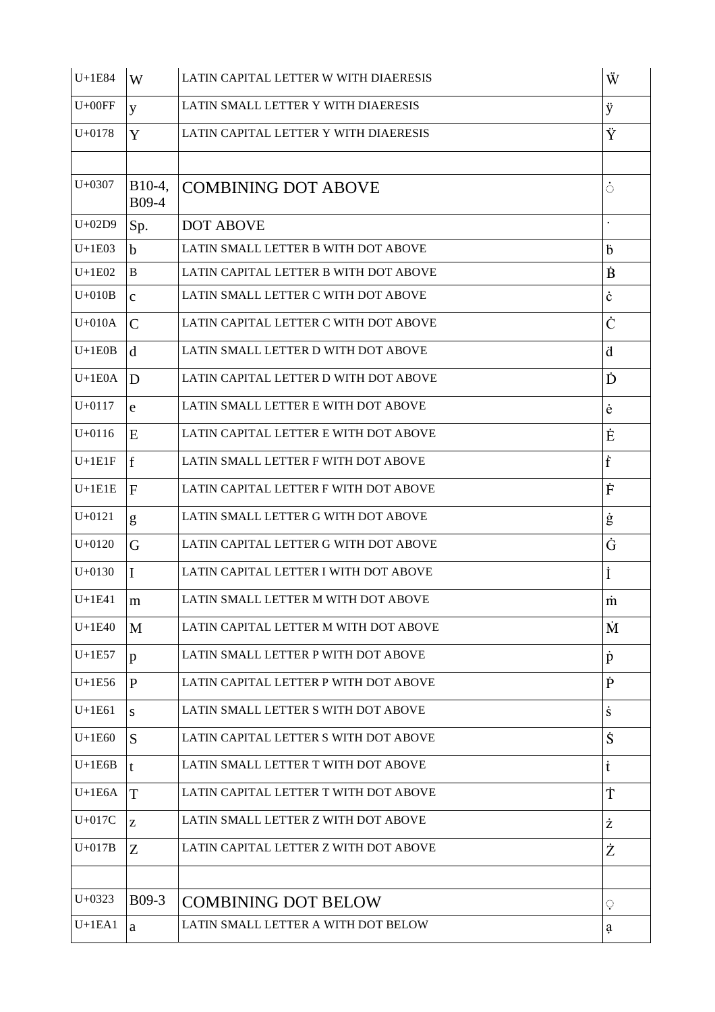| $U+1E84$   | W                 | LATIN CAPITAL LETTER W WITH DIAERESIS | Ŵ                  |
|------------|-------------------|---------------------------------------|--------------------|
| $U+00FF$   | y                 | LATIN SMALL LETTER Y WITH DIAERESIS   | ÿ                  |
| $U + 0178$ | Y                 | LATIN CAPITAL LETTER Y WITH DIAERESIS | Ÿ                  |
|            |                   |                                       |                    |
| $U + 0307$ | $B10-4,$<br>B09-4 | <b>COMBINING DOT ABOVE</b>            | $\dot{\circ}$      |
| $U+02D9$   | Sp.               | <b>DOT ABOVE</b>                      |                    |
| $U+1E03$   | $\mathbf b$       | LATIN SMALL LETTER B WITH DOT ABOVE   | b                  |
| $U+1E02$   | $\bf{B}$          | LATIN CAPITAL LETTER B WITH DOT ABOVE | $\dot{\mathbf{B}}$ |
| $U+010B$   | $\mathbf{c}$      | LATIN SMALL LETTER C WITH DOT ABOVE   | ċ                  |
| $U+010A$   | $\mathsf{C}$      | LATIN CAPITAL LETTER C WITH DOT ABOVE | Ċ                  |
| $U+1E0B$   | d                 | LATIN SMALL LETTER D WITH DOT ABOVE   | ä                  |
| $U+1E0A$   | D                 | LATIN CAPITAL LETTER D WITH DOT ABOVE | Ď                  |
| $U + 0117$ | e                 | LATIN SMALL LETTER E WITH DOT ABOVE   | ė                  |
| $U+0116$   | E                 | LATIN CAPITAL LETTER E WITH DOT ABOVE | Ė                  |
| $U+1E1F$   | f                 | LATIN SMALL LETTER F WITH DOT ABOVE   | f                  |
| $U+1E1E$   | F                 | LATIN CAPITAL LETTER F WITH DOT ABOVE | Ė                  |
| $U + 0121$ | g                 | LATIN SMALL LETTER G WITH DOT ABOVE   | ġ                  |
| $U+0120$   | G                 | LATIN CAPITAL LETTER G WITH DOT ABOVE | Ġ                  |
| $U+0130$   | $\mathbf I$       | LATIN CAPITAL LETTER I WITH DOT ABOVE | İ                  |
| $U+1E41$   | m                 | LATIN SMALL LETTER M WITH DOT ABOVE   | $\dot{m}$          |
| $U+1E40$   | M                 | LATIN CAPITAL LETTER M WITH DOT ABOVE | Ń                  |
| $U+1E57$   | p                 | LATIN SMALL LETTER P WITH DOT ABOVE   | $\dot{\rm p}$      |
| $U+1E56$   | P                 | LATIN CAPITAL LETTER P WITH DOT ABOVE | p                  |
| $U+1E61$   | S.                | LATIN SMALL LETTER S WITH DOT ABOVE   | ś                  |
| $U+1E60$   | S                 | LATIN CAPITAL LETTER S WITH DOT ABOVE | Ś                  |
| $U+1E6B$   | $\mathbf{t}$      | LATIN SMALL LETTER T WITH DOT ABOVE   | ŧ                  |
| $U+1E6A$   | T                 | LATIN CAPITAL LETTER T WITH DOT ABOVE | Ť                  |
| $U+017C$   | Z                 | LATIN SMALL LETTER Z WITH DOT ABOVE   | Ż                  |
| $U+017B$   | Z                 | LATIN CAPITAL LETTER Z WITH DOT ABOVE | Ż                  |
|            |                   |                                       |                    |
| $U+0323$   | $B09-3$           | <b>COMBINING DOT BELOW</b>            | ़                  |
| $U+1EA1$   | a                 | LATIN SMALL LETTER A WITH DOT BELOW   | a                  |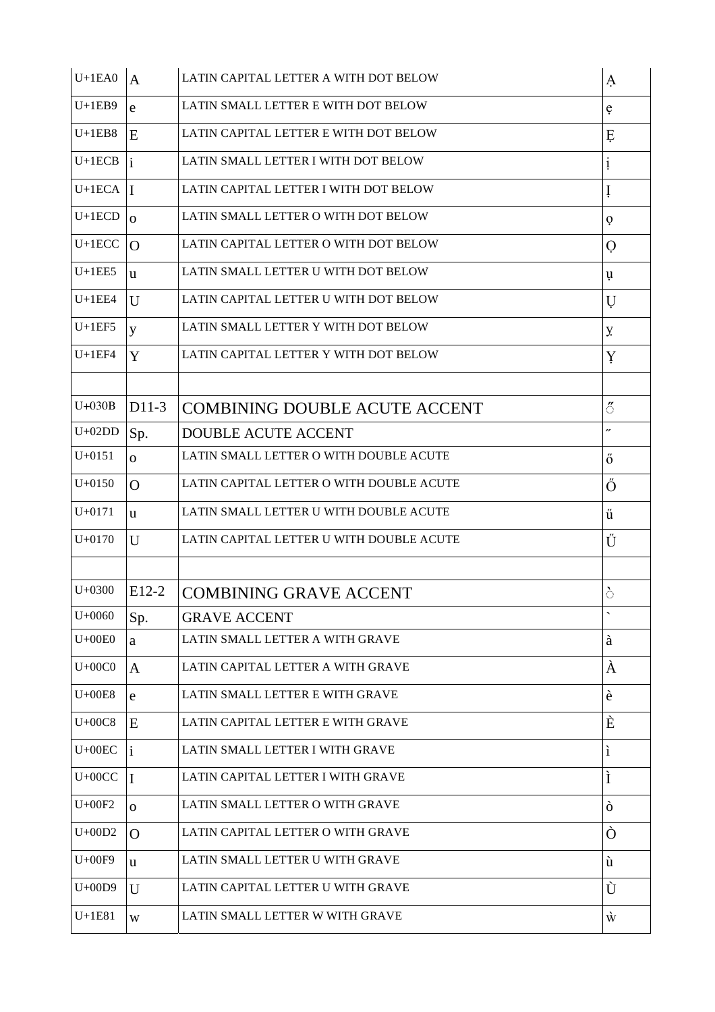| $U+1EA0$   | $\mathbf{A}$   | LATIN CAPITAL LETTER A WITH DOT BELOW    | A                        |
|------------|----------------|------------------------------------------|--------------------------|
| $U+1EB9$   | e              | LATIN SMALL LETTER E WITH DOT BELOW      | ę                        |
| $U+1EB8$   | E              | LATIN CAPITAL LETTER E WITH DOT BELOW    | Ę                        |
| $U+1ECB$   |                | LATIN SMALL LETTER I WITH DOT BELOW      | ļ                        |
| $U+1ECA$   | $\mathbf I$    | LATIN CAPITAL LETTER I WITH DOT BELOW    | ļ                        |
| $U+1ECD$   | $\Omega$       | LATIN SMALL LETTER O WITH DOT BELOW      | Ò                        |
| $U+1ECC$   | $\Omega$       | LATIN CAPITAL LETTER O WITH DOT BELOW    | $\mathcal{O}$            |
| $U+1EE5$   | u              | LATIN SMALL LETTER U WITH DOT BELOW      | ų                        |
| $U+1EE4$   | $\mathbf{U}$   | LATIN CAPITAL LETTER U WITH DOT BELOW    | U                        |
| $U+1EF5$   | y              | LATIN SMALL LETTER Y WITH DOT BELOW      | У.                       |
| $U+1EF4$   | Y              | LATIN CAPITAL LETTER Y WITH DOT BELOW    | Y                        |
|            |                |                                          |                          |
| $U+030B$   | $D11-3$        | <b>COMBINING DOUBLE ACUTE ACCENT</b>     | ő                        |
| $U+02DD$   | Sp.            | <b>DOUBLE ACUTE ACCENT</b>               | n                        |
| $U + 0151$ | $\overline{O}$ | LATIN SMALL LETTER O WITH DOUBLE ACUTE   | ő                        |
| $U + 0150$ | $\Omega$       | LATIN CAPITAL LETTER O WITH DOUBLE ACUTE | Ő                        |
| $U + 0171$ | <b>u</b>       | LATIN SMALL LETTER U WITH DOUBLE ACUTE   | ű                        |
|            |                |                                          |                          |
| $U + 0170$ | $\mathbf{U}$   | LATIN CAPITAL LETTER U WITH DOUBLE ACUTE | Ű                        |
|            |                |                                          |                          |
| $U + 0300$ | $E12-2$        | <b>COMBINING GRAVE ACCENT</b>            | े                        |
| $U + 0060$ | Sp.            | <b>GRAVE ACCENT</b>                      | $\overline{\phantom{0}}$ |
| $U+00E0$   | a              | LATIN SMALL LETTER A WITH GRAVE          | à                        |
| $U+00C0$   | $\mathbf{A}$   | LATIN CAPITAL LETTER A WITH GRAVE        | À                        |
| $U+00E8$   | $\mathbf e$    | LATIN SMALL LETTER E WITH GRAVE          | è                        |
| $U+00C8$   | E              | LATIN CAPITAL LETTER E WITH GRAVE        | È                        |
| $U+00EC$   | $\mathbf{i}$   | LATIN SMALL LETTER I WITH GRAVE          | ì                        |
| $U+00CC$   | $\mathbf I$    | LATIN CAPITAL LETTER I WITH GRAVE        | Ì                        |
| $U+00F2$   | $\overline{O}$ | LATIN SMALL LETTER O WITH GRAVE          | ò                        |
| $U+00D2$   | O              | LATIN CAPITAL LETTER O WITH GRAVE        | Ò                        |
| $U+00F9$   | u              | LATIN SMALL LETTER U WITH GRAVE          | ù                        |
| $U+00D9$   | U              | LATIN CAPITAL LETTER U WITH GRAVE        | Ù                        |
| $U+1E81$   | W              | LATIN SMALL LETTER W WITH GRAVE          | Ŵ                        |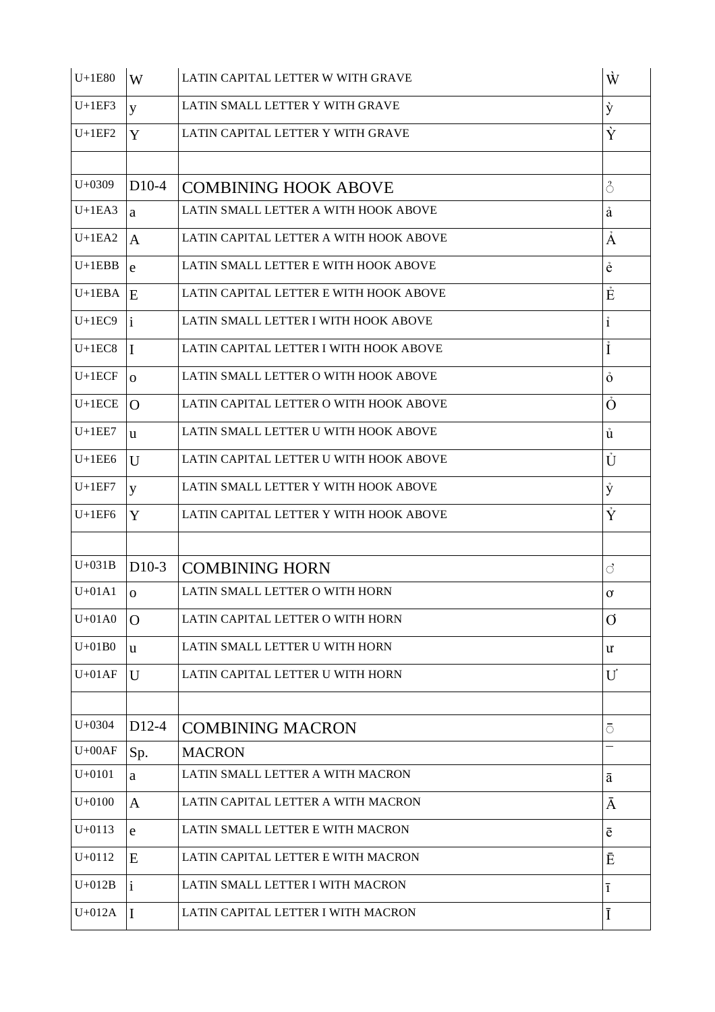| $U+1E80$   | W            | LATIN CAPITAL LETTER W WITH GRAVE      | Ŵ                   |
|------------|--------------|----------------------------------------|---------------------|
| $U+1EF3$   | y            | LATIN SMALL LETTER Y WITH GRAVE        | ý                   |
| $U+1EF2$   | Y            | LATIN CAPITAL LETTER Y WITH GRAVE      | Ý                   |
|            |              |                                        |                     |
| $U+0309$   | $D10-4$      | <b>COMBINING HOOK ABOVE</b>            | $\circlearrowright$ |
| $U+1EA3$   | a            | LATIN SMALL LETTER A WITH HOOK ABOVE   | å                   |
| $U+1EA2$   | $\mathbf{A}$ | LATIN CAPITAL LETTER A WITH HOOK ABOVE | Å                   |
| $U+1EBB$   | e            | LATIN SMALL LETTER E WITH HOOK ABOVE   | ê                   |
| $U+1EBA$   | E            | LATIN CAPITAL LETTER E WITH HOOK ABOVE | Ė                   |
| $U+1EC9$   | $\mathbf{i}$ | LATIN SMALL LETTER I WITH HOOK ABOVE   | $\mathbf{i}$        |
| $U+1EC8$   | I            | LATIN CAPITAL LETTER I WITH HOOK ABOVE | İ                   |
| $U+1ECF$   | $\Omega$     | LATIN SMALL LETTER O WITH HOOK ABOVE   | $\ddot{\mathbf{O}}$ |
| $U+1ECE$   | $\Omega$     | LATIN CAPITAL LETTER O WITH HOOK ABOVE | Ô                   |
| $U+1EE7$   | u            | LATIN SMALL LETTER U WITH HOOK ABOVE   | ů                   |
| $U+1EE6$   | U            | LATIN CAPITAL LETTER U WITH HOOK ABOVE | Ů                   |
| $U+1EF7$   | y            | LATIN SMALL LETTER Y WITH HOOK ABOVE   | ý                   |
| $U+1EF6$   | Y            | LATIN CAPITAL LETTER Y WITH HOOK ABOVE | Ý                   |
|            |              |                                        |                     |
| $U+031B$   | $D10-3$      | <b>COMBINING HORN</b>                  | ै                   |
| $U+01A1$   | $\Omega$     | LATIN SMALL LETTER O WITH HORN         | $\sigma$            |
| $U+01A0$   | O            | LATIN CAPITAL LETTER O WITH HORN       | Ø                   |
| $U+01B0$   | u            | LATIN SMALL LETTER U WITH HORN         | U.                  |
| $U+01AF$   | U            | LATIN CAPITAL LETTER U WITH HORN       | U                   |
|            |              |                                        |                     |
| $U + 0304$ | $D12-4$      | <b>COMBINING MACRON</b>                | ō                   |
| $U+00AF$   | Sp.          | <b>MACRON</b>                          |                     |
| $U+0101$   | a            | LATIN SMALL LETTER A WITH MACRON       | ā                   |
| $U+0100$   | $\mathbf{A}$ | LATIN CAPITAL LETTER A WITH MACRON     | Ā                   |
| $U + 0113$ | e            | LATIN SMALL LETTER E WITH MACRON       | ē                   |
| $U + 0112$ | E            | LATIN CAPITAL LETTER E WITH MACRON     | Ē                   |
| $U+012B$   | $\mathbf{i}$ | LATIN SMALL LETTER I WITH MACRON       | $\overline{1}$      |
| $U+012A$   | I            | LATIN CAPITAL LETTER I WITH MACRON     | Ī                   |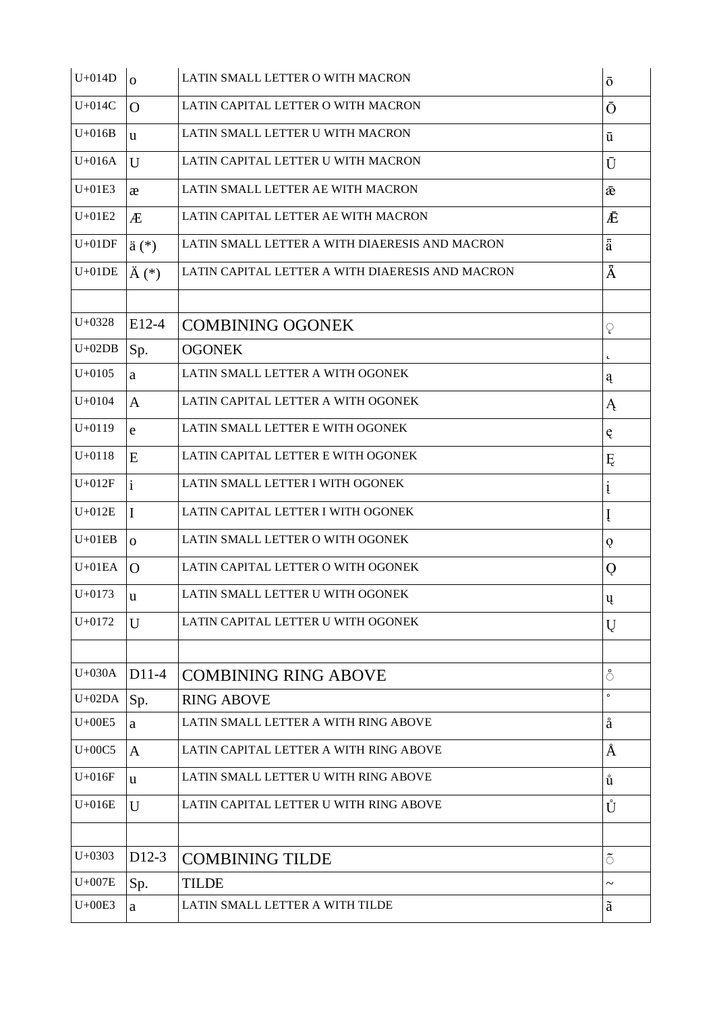| $U+014D$   | $\Omega$           | LATIN SMALL LETTER O WITH MACRON                 | $\bar{\text{o}}$               |
|------------|--------------------|--------------------------------------------------|--------------------------------|
| $U+014C$   | $\Omega$           | LATIN CAPITAL LETTER O WITH MACRON               | Ō                              |
| $U+016B$   | u                  | LATIN SMALL LETTER U WITH MACRON                 | ū                              |
| $U+016A$   | U                  | LATIN CAPITAL LETTER U WITH MACRON               | Ū                              |
| $U+01E3$   | æ                  | LATIN SMALL LETTER AE WITH MACRON                | æ                              |
| $U+01E2$   | Æ                  | LATIN CAPITAL LETTER AE WITH MACRON              | Ē                              |
| $U+01DF$   | $\ddot{a}$ $(*)$   | LATIN SMALL LETTER A WITH DIAERESIS AND MACRON   | $\overline{\ddot{\mathrm{a}}}$ |
| $U+01DE$   | $\ddot{A}$ (*)     | LATIN CAPITAL LETTER A WITH DIAERESIS AND MACRON | Ā                              |
|            |                    |                                                  |                                |
| $U + 0328$ | E12-4              | <b>COMBINING OGONEK</b>                          | ្                              |
| $U+02DB$   | Sp.                | <b>OGONEK</b>                                    | $\pmb{\downarrow}$             |
| $U + 0105$ | a                  | LATIN SMALL LETTER A WITH OGONEK                 | ą                              |
| $U + 0104$ | $\mathbf{A}$       | LATIN CAPITAL LETTER A WITH OGONEK               | Ą                              |
| $U + 0119$ | e                  | LATIN SMALL LETTER E WITH OGONEK                 | ę                              |
| $U + 0118$ | E                  | LATIN CAPITAL LETTER E WITH OGONEK               | Ę                              |
| $U+012F$   | $\mathbf{i}$       | LATIN SMALL LETTER I WITH OGONEK                 | į                              |
| $U+012E$   | $\mathbf I$        | LATIN CAPITAL LETTER I WITH OGONEK               | Į                              |
| $U+01EB$   | $\Omega$           | LATIN SMALL LETTER O WITH OGONEK                 | Q                              |
| $U+01EA$   | $\Omega$           | LATIN CAPITAL LETTER O WITH OGONEK               | Q                              |
| $U + 0173$ | u                  | LATIN SMALL LETTER U WITH OGONEK                 | ų                              |
| $U + 0172$ | U                  | LATIN CAPITAL LETTER U WITH OGONEK               | Ų                              |
|            |                    |                                                  |                                |
| $U+030A$   | D11-4              | <b>COMBINING RING ABOVE</b>                      | ំ                              |
| $U+02DA$   | Sp.                | <b>RING ABOVE</b>                                | $\circ$                        |
| $U+00E5$   | a                  | LATIN SMALL LETTER A WITH RING ABOVE             | å                              |
| $U+00C5$   | $\mathbf{A}$       | LATIN CAPITAL LETTER A WITH RING ABOVE           | Å                              |
| $U+016F$   | $\mathbf{u}$       | LATIN SMALL LETTER U WITH RING ABOVE             | ů                              |
| $U+016E$   | U                  | LATIN CAPITAL LETTER U WITH RING ABOVE           | Ů                              |
|            |                    |                                                  |                                |
| $U+0303$   | D <sub>12</sub> -3 | <b>COMBINING TILDE</b>                           | $\tilde{\circ}$                |
| $U+007E$   | Sp.                | <b>TILDE</b>                                     | $\tilde{\phantom{a}}$          |
| $U+00E3$   | $\mathbf{a}$       | LATIN SMALL LETTER A WITH TILDE                  | ã                              |